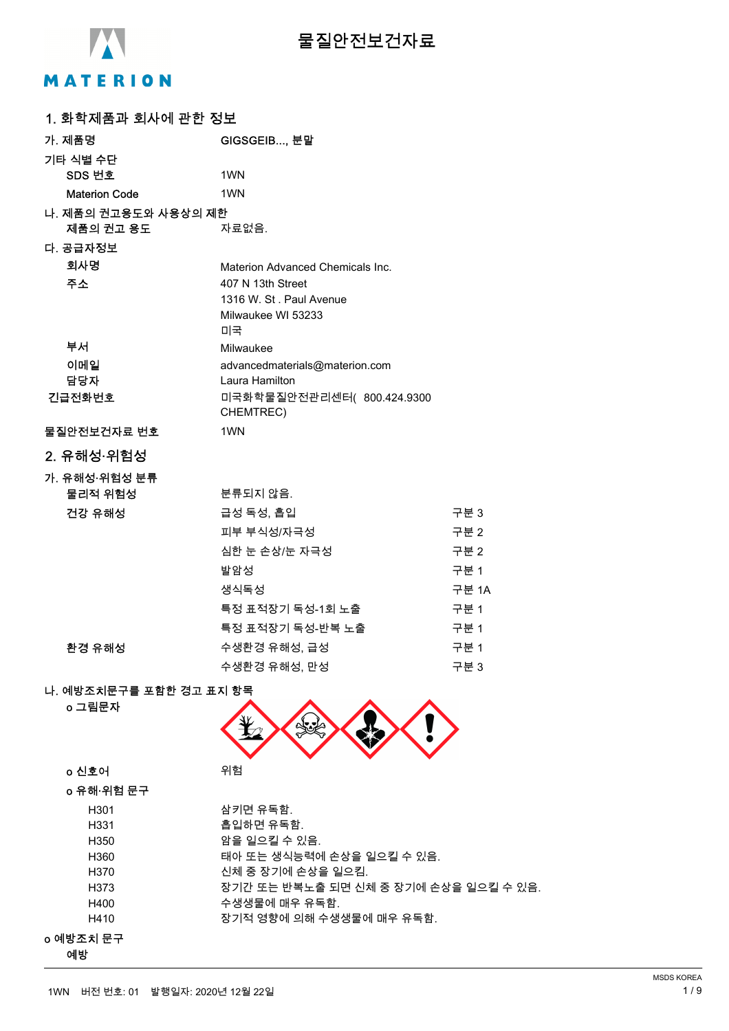

# **물질안전보건자료**

# MATERION

| 1. 화학제품과 회사에 관한 정보                |                                                |       |
|-----------------------------------|------------------------------------------------|-------|
| 가. 제품명                            | GIGSGEIB, 분말                                   |       |
| 기타 식별 수단                          |                                                |       |
| SDS 번호                            | 1 <sub>WN</sub>                                |       |
| <b>Materion Code</b>              | 1WN                                            |       |
| 나. 제품의 권고용도와 사용상의 제한              |                                                |       |
| 제품의 권고 용도                         | 자료없음.                                          |       |
| 다. 공급자정보                          |                                                |       |
| 회사명                               | Materion Advanced Chemicals Inc.               |       |
| 주소                                | 407 N 13th Street                              |       |
|                                   | 1316 W. St. Paul Avenue                        |       |
|                                   | Milwaukee WI 53233                             |       |
|                                   | 미국                                             |       |
| 부서                                | Milwaukee                                      |       |
| 이메일                               | advancedmaterials@materion.com                 |       |
| 담당자<br>긴급전화번호                     | Laura Hamilton<br>미국화학물질안전관리센터( 800.424.9300   |       |
|                                   | CHEMTREC)                                      |       |
| 물질안전보건자료 번호                       | 1 <sub>WN</sub>                                |       |
| 2. 유해성·위험성                        |                                                |       |
| 가. 유해성·위험성 분류                     |                                                |       |
| 물리적 위험성                           | 분류되지 않음.                                       |       |
| 건강 유해성                            | 급성 독성, 흡입                                      | 구분 3  |
|                                   | 피부 부식성/자극성                                     | 구분 2  |
|                                   | 심한 눈 손상/눈 자극성                                  | 구분 2  |
|                                   | 발암성                                            | 구분 1  |
|                                   | 생식독성                                           | 구분 1A |
|                                   | 특정 표적장기 독성-1회 노출                               | 구분 1  |
|                                   | 특정 표적장기 독성-반복 노출                               | 구분 1  |
| 환경 유해성                            | 수생환경 유해성, 급성                                   | 구분 1  |
|                                   | 수생환경 유해성, 만성                                   | 구분 3  |
|                                   |                                                |       |
| 나. 예방조치문구를 포함한 경고 표지 항목<br>o 그림문자 |                                                |       |
|                                   |                                                |       |
| o 신호어                             | 위험                                             |       |
| o 유해·위험 문구                        |                                                |       |
| H301                              | 삼키면 유독함.                                       |       |
| H331                              | 흡입하면 유독함.                                      |       |
| H350                              | 암을 일으킬 수 있음.                                   |       |
| H360<br>H370                      | 태아 또는 생식능력에 손상을 일으킬 수 있음.<br>신체 중 장기에 손상을 일으킴. |       |
| H373                              | 장기간 또는 반복노출 되면 신체 중 장기에 손상을 일으킬 수 있음.          |       |
| H400                              | 수생생물에 매우 유독함.                                  |       |
| H410                              | 장기적 영향에 의해 수생생물에 매우 유독함.                       |       |
| o 예방조치 문구<br>예방                   |                                                |       |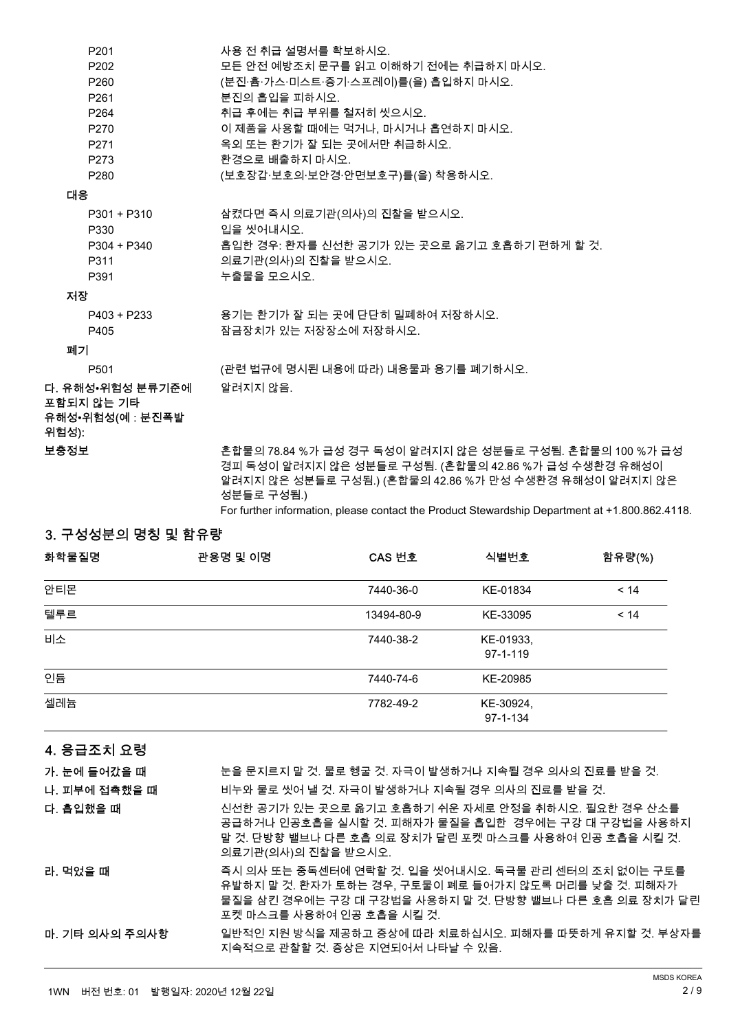| P <sub>201</sub>                                            | 사용 전 취급 설명서를 확보하시오.                                                                                                                                                                      |
|-------------------------------------------------------------|------------------------------------------------------------------------------------------------------------------------------------------------------------------------------------------|
| P <sub>202</sub>                                            | 모든 안전 예방조치 문구를 읽고 이해하기 전에는 취급하지 마시오.                                                                                                                                                     |
| P <sub>260</sub>                                            | (분진·흄·가스·미스트·증기·스프레이)를(을) 흡입하지 마시오.                                                                                                                                                      |
| P <sub>261</sub>                                            | 분진의 흡입을 피하시오.                                                                                                                                                                            |
| P <sub>264</sub>                                            | 취급 후에는 취급 부위를 철저히 씻으시오.                                                                                                                                                                  |
| P270                                                        | 이 제품을 사용할 때에는 먹거나, 마시거나 흡연하지 마시오.                                                                                                                                                        |
| P271                                                        | 옥외 또는 환기가 잘 되는 곳에서만 취급하시오.                                                                                                                                                               |
| P273                                                        | 환경으로 배출하지 마시오.                                                                                                                                                                           |
| P <sub>280</sub>                                            | (보호장갑·보호의·보안경·안면보호구)를(을) 착용하시오.                                                                                                                                                          |
| 대응                                                          |                                                                                                                                                                                          |
| P301 + P310<br>P330                                         | 삼켰다면 즉시 의료기관(의사)의 진찰을 받으시오.<br>입을 씻어내시오.                                                                                                                                                 |
| P304 + P340                                                 | .흡입한 경우: 환자를 신선한 공기가 있는 곳으로 옮기고 호흡하기 편하게 할 것.                                                                                                                                            |
| P311                                                        | 의료기관(의사)의 진찰을 받으시오.                                                                                                                                                                      |
| P391                                                        | 누출물을 모으시오.                                                                                                                                                                               |
| 저장                                                          |                                                                                                                                                                                          |
| $P403 + P233$                                               | 용기는 환기가 잘 되는 곳에 단단히 밀폐하여 저장하시오.                                                                                                                                                          |
| P405                                                        | 잠금장치가 있는 저장장소에 저장하시오.                                                                                                                                                                    |
| 폐기                                                          |                                                                                                                                                                                          |
| P501                                                        | (관련 법규에 명시된 내용에 따라) 내용물과 용기를 폐기하시오.                                                                                                                                                      |
| 다. 유해성•위험성 분류기준에<br>포함되지 않는 기타<br>유해성•위험성(예 : 분진폭발<br>위험성): | 알려지지 않음.                                                                                                                                                                                 |
| 보충정보                                                        | 혼합물의 78.84 %가 급성 경구 독성이 알려지지 않은 성분들로 구성됨. 혼합물의 100 %가 급성<br>경피 독성이 알려지지 않은 성분들로 구성됨. (혼합물의 42.86 %가 급성 수생환경 유해성이<br>알려지지 않은 성분들로 구성됨.) (혼합물의 42.86 %가 만성 수생환경 유해성이 알려지지 않은<br>성분들로 구성됨.) |

For further information, please contact the Product Stewardship Department at +1.800.862.4118.

# 3. 구성성분의 명칭 및 함유량

| 화학물질명 | 관용명 및 이명 | CAS 번호     | 식별번호                        | 함유량(%) |
|-------|----------|------------|-----------------------------|--------|
| 안티몬   |          | 7440-36-0  | KE-01834                    | < 14   |
| 텔루르   |          | 13494-80-9 | KE-33095                    | < 14   |
| 비소    |          | 7440-38-2  | KE-01933,<br>$97 - 1 - 119$ |        |
| 인듐    |          | 7440-74-6  | KE-20985                    |        |
| 셀레늄   |          | 7782-49-2  | KE-30924,<br>$97 - 1 - 134$ |        |

# 4. 응급조치 **요령**

| 가. 눈에 들어갔을 때   | 눈을 문지르지 말 것. 물로 헹굴 것. 자극이 발생하거나 지속될 경우 의사의 진료를 받을 것.                                                                                                                                                   |
|----------------|--------------------------------------------------------------------------------------------------------------------------------------------------------------------------------------------------------|
| 나. 피부에 접촉했을 때  | 비누와 물로 씻어 낼 것. 자극이 발생하거나 지속될 경우 의사의 진료를 받을 것.                                                                                                                                                          |
| 다. 흡입했을 때      | 시선한 공기가 있는 곳으로 옮기고 호흡하기 쉬운 자세로 안정을 취하시오. 필요한 경우 산소를<br>공급하거나 인공호흡을 실시할 것. 피해자가 물질을 흡입한 경우에는 구강 대 구강법을 사용하지<br>말 것. 단방향 밸브나 다른 호흡 의료 장치가 달린 포켓 마스크를 사용하여 인공 호흡을 시킬 것.<br>의료기관(의사)의 진찰을 받으시오.            |
| 라. 먹었을 때       | 즉시 의사 또는 중독센터에 연락할 것, 입을 씻어내시오. 독극물 관리 센터의 조치 없이는 구토를<br>유발하지 말 것. 환자가 토하는 경우, 구토물이 폐로 들어가지 않도록 머리를 낮출 것. 피해자가<br>물질을 삼킨 경우에는 구강 대 구강법을 사용하지 말 것. 단방향 밸브나 다른 호흡 의료 장치가 달린<br>포켓 마스크를 사용하여 인공 호흡을 시킬 것. |
| 마. 기타 의사의 주의사항 | 일반적인 지원 방식을 제공하고 증상에 따라 치료하십시오. 피해자를 따뜻하게 유지할 것. 부상자를<br>지속적으로 관찰할 것. 증상은 지연되어서 나타날 수 있음.                                                                                                              |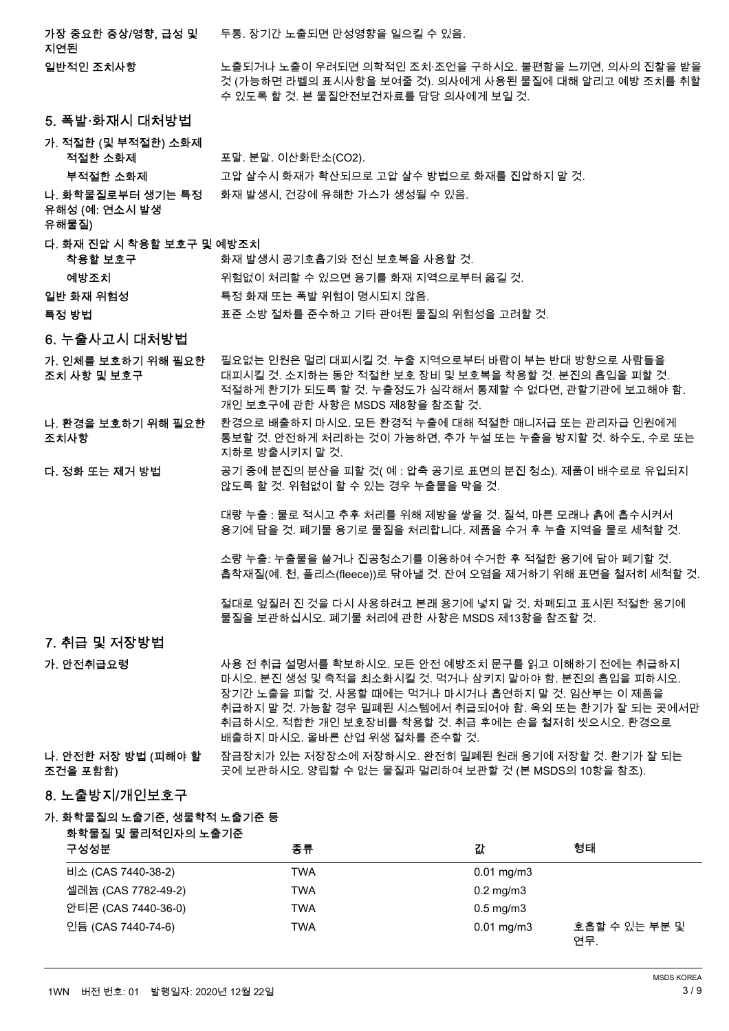가장 중요한 증상/영향, 급성 및 두통. 장기간 노출되면 만성영향을 일으킬 수 있음.

지연된

일반적인 조치사항

노출되거나 노출이 우려되면 의학적인 조치·조언을 구하시오. 불편함을 느끼면, 의사의 진찰을 받을 것 (가능하면 라벨의 표시사항을 보여줄 것). 의사에게 사용된 물질에 대해 알리고 예방 조치를 취할 수 있도록 할 것. 본 물질안전보건자료를 담당 의사에게 보일 것.

- 5. 폭발·화재시 대처방법
- 가. 적절한 (및 부적절한) 소화제 놶놽뼑 ꭁ쀉뇑 붡ꎅ. ꜹꎅ. 넩ꩥ쀉멹ꭁ(CO2).

부적절한 소화제 <u>가는 그 압</u>실수시 화재가 확산되므로 고압 살수 방법으로 화재를 진압하지 말 것.

#### 나. 화학물질로부터 생기는 특정 화재 발생시, 건강에 유해한 가스가 생성될 수 있음.

유해성 (예: 연소시 발생

#### 유해물질)

#### 다. 화재 진압 시 착용할 보호구 및 예방조치 **착용할 보호구 ପ** 기호 화재 발생시 공기호흡기와 전신 보호복을 사용할 것

|      | .                                   |  |
|------|-------------------------------------|--|
| 예방조치 | -위험없이 처리할 수 있으면 용기를 화재 지역으로부터 옮길 것. |  |

- 넱ꗍ 쀉녡 낹뾍ꫦ 뱮뇊 쀉녡 鿅鱉 붢ꗑ 낹뾍넩 ꐺ겑鷍덵 껿넁.
- 특정 방법 する いち ぶ 조준 소방 절차를 준수하고 기타 관여된 물질의 위험성을 고려할 것.

#### 6. 누출사고시 대처방법

- 필요없는 인원은 멀리 대피시킬 것. 누출 지역으로부터 바람이 부는 반대 방향으로 사람들을 대피시킬 것. 소지하는 동안 적절한 보호 장비 및 보호복을 착용할 것. 분진의 흡입을 피할 것. 적절하게 환기가 되도록 할 것. 누출정도가 심각해서 통제할 수 없다면, 관할기관에 보고해야 함. 개인 보호구에 관한 사항은 MSDS 제8항을 참조할 것. 가. 인체를 보호하기 위해 필요한 조치 사항 및 보호구
- 환경으로 배출하지 마시오. 모든 환경적 누출에 대해 적절한 매니저급 또는 관리자급 인원에게 통보할 것. 안전하게 처리하는 것이 가능하면, 추가 누설 또는 누출을 방지할 것. 하수도, 수로 또는 지하로 방출시키지 말 것. 나. 환경을 보호하기 위해 필요한 조치사항
- 공기 중에 분진의 분산을 피할 것(예 : 압축 공기로 표면의 분진 청소). 제품이 배수로로 유입되지 않도록 할 것. 위험없이 할 수 있는 경우 누출물을 막을 것. 다. 정화 또는 제거 방법

대량 누출 : 물로 적시고 추후 처리를 위해 제방을 쌓을 것. 질석. 마른 모래나 흙에 흡수시켜서 용기에 담을 것. 폐기물 용기로 물질을 처리합니다. 제품을 수거 후 누출 지역을 물로 세척할 것.

소량 누출: 누출물을 쓸거나 진공청소기를 이용하여 수거한 후 적절한 용기에 담아 폐기할 것. 흡착재질(예, 천, 플리스(fleece))로 닦아낼 것, 잔여 오염을 제거하기 위해 표면을 철저히 세척할 것.

절대로 엎질러 진 것을 다시 사용하려고 본래 용기에 넣지 말 것. 차폐되고 표시된 적절한 용기에 물질을 보관하십시오. 폐기물 처리에 관한 사항은 MSDS 제13항을 참조할 것.

#### 7. 취급 및 저장방법

가. 안전취급요령

사용 전 취급 설명서를 확보하시오. 모든 안전 예방조치 문구를 읽고 이해하기 전에는 취급하지 마시오. 분진 생성 및 축적을 최소화시킬 것. 먹거나 삼키지 말아야 함. 분진의 흡입을 피하시오. 장기간 노출을 피할 것. 사용할 때에는 먹거나 마시거나 흡연하지 말 것. 임산부는 이 제품을 취급하지 말 것. 가능할 경우 밀폐된 시스템에서 취급되어야 함. 옥외 또는 환기가 잘 되는 곳에서만 취급하시오. 적합한 개인 보호장비를 착용할 것. 취급 후에는 손을 철저히 씻으시오. 환경으로 배출하지 마시오. 올바른 산업 위생 절차를 준수할 것.

#### 잠금장치가 있는 저장장소에 저장하시오. 완전히 밀폐된 원래 용기에 저장할 것. 환기가 잘 되는 곳에 보관하시오. 양립할 수 없는 물질과 멀리하여 보관할 것 (본 MSDS의 10항을 참조). 나. 안전한 저장 방법 (피해야 할 조건을 포함함)

#### 8. 노출방지/개인보호구

#### 가. 화학물질의 노출기준, 생물학적 노출기준 등

### 화학물질 및 물리적인자의 노출기준 구성성분 - 한 대학 - 대학 - 중류 - 한 대학 - 대학 - 대학 - 대학 - 한 대학 - 한 대학 - 한 대학 - 한 대학 - 한 대학 - 한 대학 ꟹꭁ (CAS 7440-38-2) TWA 0.01 mg/m3 ꫵꆽ鰹 (CAS 7782-49-2) TWA 0.2 mg/m3 안티몬 (CAS 7440-36-0) TWA TWA 0.5 mg/m3 TWA 2001 mg/m3 호흡할 수 있는 부분 및 연무. 넭麅 (CAS 7440-74-6)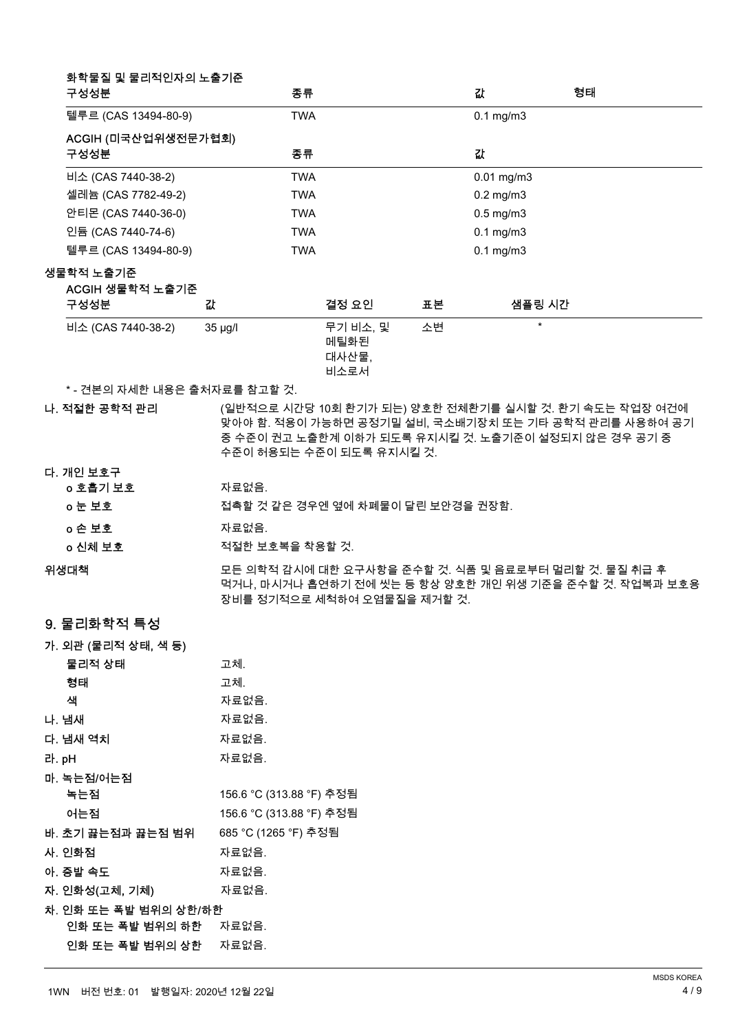| 구성성분                 | 화학물질 및 물리적인자의 노출기준  |              | 종류         |                                   |    | 값               | 형태 |
|----------------------|---------------------|--------------|------------|-----------------------------------|----|-----------------|----|
| 텔루르 (CAS 13494-80-9) |                     |              | <b>TWA</b> |                                   |    | $0.1$ mg/m $3$  |    |
| 구성성분                 | ACGIH (미국산업위생전문가협회) |              | 종류         |                                   |    | 값               |    |
| 비소 (CAS 7440-38-2)   |                     |              | <b>TWA</b> |                                   |    | $0.01$ mg/m $3$ |    |
| 셀레늄 (CAS 7782-49-2)  |                     |              | <b>TWA</b> |                                   |    | $0.2$ mg/m $3$  |    |
| 안티몬 (CAS 7440-36-0)  |                     |              | <b>TWA</b> |                                   |    | $0.5$ mg/m $3$  |    |
| 인듐 (CAS 7440-74-6)   |                     |              | <b>TWA</b> |                                   |    | $0.1$ mg/m $3$  |    |
| 텔루르 (CAS 13494-80-9) |                     |              | <b>TWA</b> |                                   |    | $0.1$ mg/m $3$  |    |
| 생물학적 노출기준<br>구성성분    | ACGIH 생물학적 노출기준     | 값            |            | 결정 요인                             | 표본 | 샘플링 시간          |    |
| 비소 (CAS 7440-38-2)   |                     | $35 \mu g/l$ |            | 무기 비소, 및<br>메틸화된<br>대사산물.<br>비소로서 | 소변 | $\star$         |    |

\* - 견본의 자세한 내용은 출처자료를 참고할 것.

나. 적절한 공학적 관리

(일반적으로 시간당 10회 환기가 되는) 양호한 전체환기를 실시할 것. 환기 속도는 작업장 여건에 맞아야 함. 적용이 가능하면 공정기밀 설비. 국소배기장치 또는 기타 공학적 관리를 사용하여 공기 중 수준이 권고 노출한계 이하가 되도록 유지시킬 것. 노출기준이 설정되지 않은 경우 공기 중 수준이 허용되는 수준이 되도록 유지시킬 것.

다. 개인 보호구

| o 호흡기 보호 | 자료없음.                              |
|----------|------------------------------------|
| ㅇ눈 보호    | 접촉할 것 같은 경우엔 옆에 차폐물이 달린 보안경을 권장함.  |
| ㅇ손 보호    | 자료없음.                              |
| ㅇ 신체 보호  | 적절한 보호복을 착용할 것.                    |
| 생대채      | 모든 이한전 간시에 대한 요구사항을 주수한 것. 신풍 및 올등 |

- ≐ 의학석 감시에 대한 요구사항을 준수할 것. 식품 및 음료로부터 멀리할 것. 물질 취급 후<br>ULL RL UNU L 측상 UIT LLT UILL TE TELL TELL TELL 먹거나, 마시거나 흡연하기 전에 씻는 등 항상 양호한 개인 위생 기준을 준수할 것. 작업복과 보호용 장비를 정기적으로 세척하여 오염물질을 제거할 것. 위생대책
- 9. 물리화학적 특성

가. 외관 (물리적 상태, 색 등)

| 물리적 상태                         | 고체.                      |
|--------------------------------|--------------------------|
| 형태                             | 고체.                      |
| 색                              | 자료없음.                    |
| 나. 냄새                          | 자료없음.                    |
| 다. 냄새 역치                       | 자료없음.                    |
| 라. pH                          | 자료없음.                    |
| 마. 녹는점/어는점                     |                          |
| 녹는점                            | 156.6 °C (313.88 °F) 추정됨 |
| 어는점                            | 156.6 °C (313.88 °F) 추정됨 |
| 바. 초기 끓는점과 끓는점 범위              | 685 °C (1265 °F) 추정됨     |
| 사. 인화점                         | 자료없음.                    |
| 아. 증발 속도                       | 자료없음.                    |
| 자. 인화성(고체, 기체)                 | 자료없음.                    |
| 차. 인화 또는 폭발 범위의 상한/하한          |                          |
| <b>인화 또는 폭발 범위의 하한</b> _ 자료없음. |                          |
| 인화 또는 폭발 범위의 상한                | 자료없음.                    |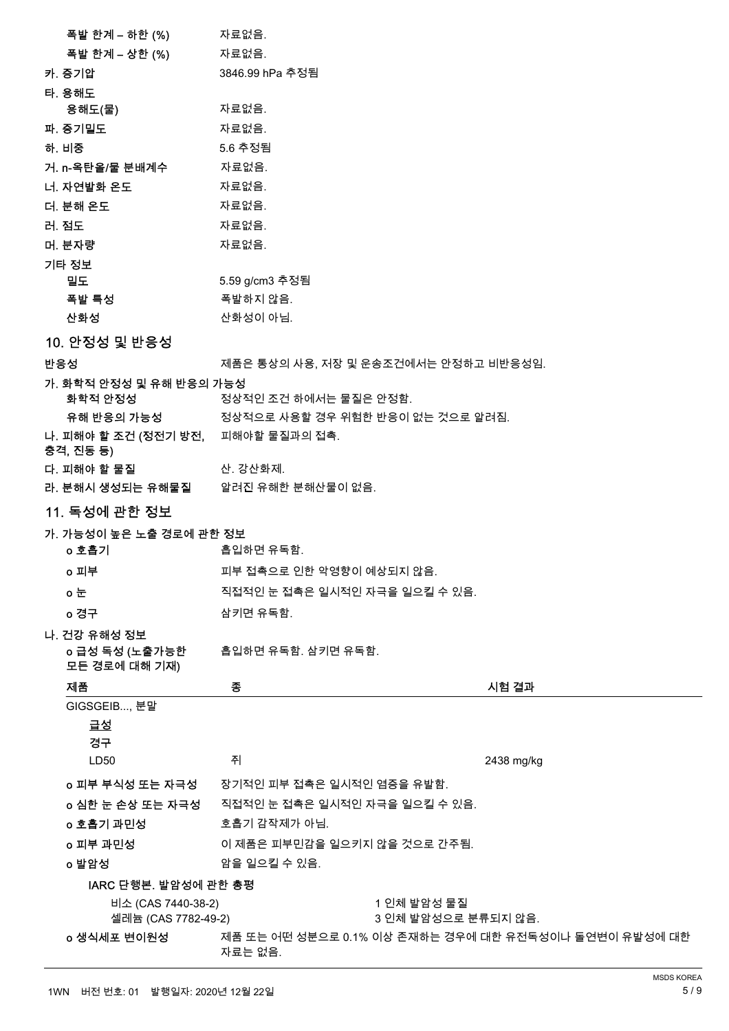|     | <b>폭발 한계 – 하한 (%)           자료없음.</b>     |                                             |                                    |                                                       |
|-----|-------------------------------------------|---------------------------------------------|------------------------------------|-------------------------------------------------------|
|     | 폭발 한계 – 상한 (%)                            | 자료없음.                                       |                                    |                                                       |
|     | 카. 증기압                                    | 3846.99 hPa 추정됨                             |                                    |                                                       |
|     | 타. 용해도                                    |                                             |                                    |                                                       |
|     | 용해도(물)                                    | 자료없음.                                       |                                    |                                                       |
|     | 파. 증기밀도                                   | 자료없음.                                       |                                    |                                                       |
|     | 하. 비중                                     | 5.6 추정됨                                     |                                    |                                                       |
|     | 거. n-옥탄올/물 분배계수 자료없음.                     |                                             |                                    |                                                       |
|     | 너. 자연발화 온도                                | 자료없음.                                       |                                    |                                                       |
|     | 더. 분해 온도                                  | 자료없음.                                       |                                    |                                                       |
|     | 러. 점도                                     | 자료없음.                                       |                                    |                                                       |
|     | 머. 분자량                                    | 자료없음.                                       |                                    |                                                       |
|     | 기타 정보                                     |                                             |                                    |                                                       |
|     | 밀도.                                       | 5.59 g/cm3 추정됨                              |                                    |                                                       |
|     | 폭발 특성                                     | 폭발하지 않음.                                    |                                    |                                                       |
|     | 산화성                                       | 산화성이 아님.                                    |                                    |                                                       |
|     | 10. 안정성 및 반응성                             |                                             |                                    |                                                       |
| 반응성 |                                           | 제품은 통상의 사용, 저장 및 운송조건에서는 안정하고 비반응성임.        |                                    |                                                       |
|     | 가. 화학적 안정성 및 유해 반응의 가능성                   |                                             |                                    |                                                       |
|     | 화학적 안정성                                   | 정상적인 조건 하에서는 물질은 안정함.                       |                                    |                                                       |
|     |                                           | 유해 반응의 가능성 정상적으로 사용할 경우 위험한 반응이 없는 것으로 알려짐. |                                    |                                                       |
|     | 나. 피해야 할 조건 (정전기 방전, 피해야할 물질과의 접촉.        |                                             |                                    |                                                       |
|     | 충격, 진동 등)                                 |                                             |                                    |                                                       |
|     | 다. 피해야 할 물질                               | 산. 강산화제.                                    |                                    |                                                       |
|     |                                           | 라. 분해시 생성되는 유해물질 알려진 유해한 분해산물이 없음.          |                                    |                                                       |
|     | <u>11. 독성에 관한 정보</u>                      |                                             |                                    |                                                       |
|     | 가. 가능성이 높은 노출 경로에 관한 정보                   |                                             |                                    |                                                       |
|     | o 호흡기                                     | 흡입하면 유독함.                                   |                                    |                                                       |
|     | o 피부                                      | 피부 접촉으로 인한 악영향이 예상되지 않음                     |                                    |                                                       |
|     | ㅇ눈                                        | 직접적인 눈 접촉은 일시적인 자극을 일으킬 수 있음.               |                                    |                                                       |
|     | o 경구                                      | 삼키면 유독함.                                    |                                    |                                                       |
|     |                                           |                                             |                                    |                                                       |
|     | 나. 건강 유해성 정보<br>o 급성 독성 (노출가능한            | 흡입하면 유독함. 삼키면 유독함.                          |                                    |                                                       |
|     | 모든 경로에 대해 기재)                             |                                             |                                    |                                                       |
|     | 제품                                        | 종                                           |                                    | 시험 결과                                                 |
|     | GIGSGEIB, 분말                              |                                             |                                    |                                                       |
|     | <u>급성</u>                                 |                                             |                                    |                                                       |
|     | 경구                                        |                                             |                                    |                                                       |
|     | LD50                                      | 쥐                                           |                                    | 2438 mg/kg                                            |
|     | o 피부 부식성 또는 자극성                           | 장기적인 피부 접촉은 일시적인 염증을 유발함.                   |                                    |                                                       |
|     | o 심한 눈 손상 또는 자극성                          | 직접적인 눈 접촉은 일시적인 자극을 일으킬 수 있음.               |                                    |                                                       |
|     | o 호흡기 과민성                                 | 호흡기 감작제가 아님.                                |                                    |                                                       |
|     | o 피부 과민성                                  | 이 제품은 피부민감을 일으키지 않을 것으로 간주됨.                |                                    |                                                       |
|     | o 발암성                                     | 암을 일으킬 수 있음.                                |                                    |                                                       |
|     |                                           |                                             |                                    |                                                       |
|     | IARC 단행본. 발암성에 관한 총평                      |                                             |                                    |                                                       |
|     | 비소 (CAS 7440-38-2)<br>셀레늄 (CAS 7782-49-2) |                                             | 1 인체 발암성 물질<br>3 인체 발암성으로 분류되지 않음. |                                                       |
|     |                                           |                                             |                                    | 제품 또는 어떤 성분으로 0.1% 이상 존재하는 경우에 대한 유전독성이나 돌연변이 유발성에 대한 |
|     | o 생식세포 변이원성                               |                                             |                                    |                                                       |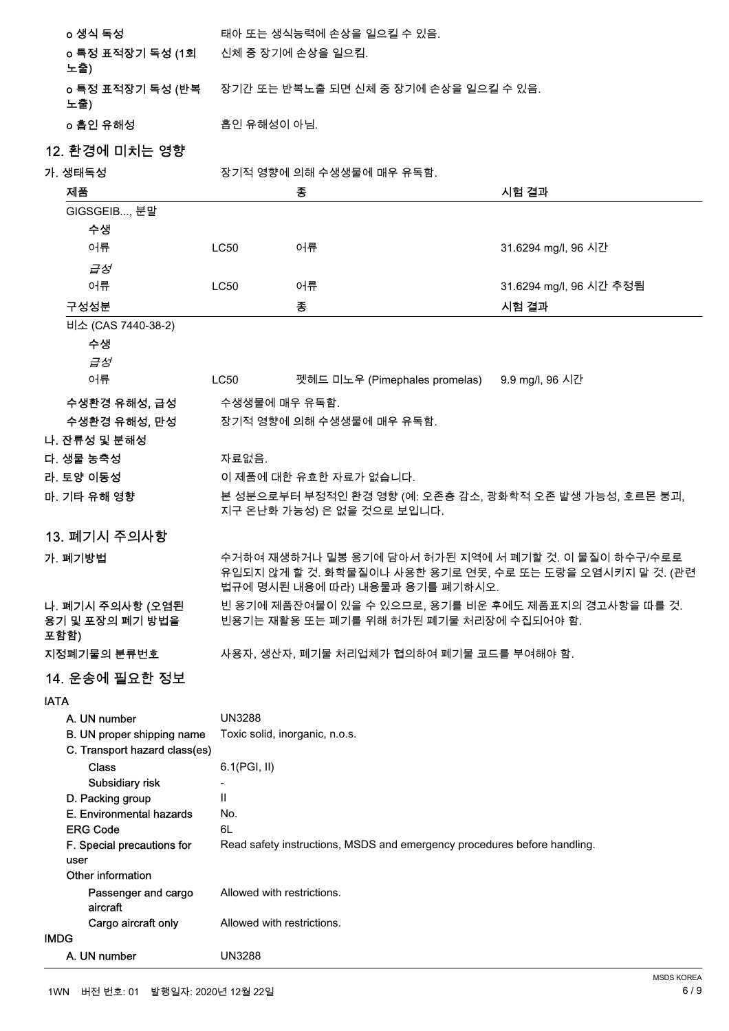| o 생식 독성                 | 태아 또는 생식능력에 손상을 일으킬 수 있음.               |
|-------------------------|-----------------------------------------|
| o 특정 표적장기 독성 (1회<br>노출) | .신체 중 장기에 손상을 일으킴.                      |
| o 특정 표적장기 독성 (반복<br>노출) | . 장기간 또는 반복노출 되면 신체 중 장기에 손상을 일으킬 수 있음. |
| o 흡인 유해성                | -흡인 유해성이 아님.                            |

# 12. 환경에 미치는 영향

가. 생태독성 고객 포 작기적 영향에 의해 수생생물에 매우 유독함.

|             | 제품                                                          |                                                                                                                                                     | 종                                                                        | 시험 결과                   |
|-------------|-------------------------------------------------------------|-----------------------------------------------------------------------------------------------------------------------------------------------------|--------------------------------------------------------------------------|-------------------------|
|             | GIGSGEIB, 분말                                                |                                                                                                                                                     |                                                                          |                         |
|             | 수생                                                          |                                                                                                                                                     |                                                                          |                         |
|             | 어류                                                          | <b>LC50</b>                                                                                                                                         | 어류                                                                       | 31.6294 mg/l, 96 시간     |
|             | 급성                                                          |                                                                                                                                                     |                                                                          |                         |
|             | 어류                                                          | <b>LC50</b>                                                                                                                                         | 어류                                                                       | 31.6294 mg/l, 96 시간 추정됨 |
|             | 구성성분                                                        |                                                                                                                                                     | 종                                                                        | 시험 결과                   |
|             | 비소 (CAS 7440-38-2)                                          |                                                                                                                                                     |                                                                          |                         |
|             | 수생                                                          |                                                                                                                                                     |                                                                          |                         |
|             | 급성                                                          |                                                                                                                                                     |                                                                          |                         |
|             | 어류                                                          | LC50                                                                                                                                                | 펫헤드 미노우 (Pimephales promelas)                                            | 9.9 mg/l, 96 시간         |
|             | 수생환경 유해성, 급성                                                | 수생생물에 매우 유독함.                                                                                                                                       |                                                                          |                         |
|             | 수생환경 유해성, 만성                                                |                                                                                                                                                     | 장기적 영향에 의해 수생생물에 매우 유독함.                                                 |                         |
|             | 나. 잔류성 및 분해성                                                |                                                                                                                                                     |                                                                          |                         |
|             | 다. 생물 농축성                                                   | 자료없음.                                                                                                                                               |                                                                          |                         |
|             | 라. 토양 이동성                                                   |                                                                                                                                                     | 이 제품에 대한 유효한 자료가 없습니다.                                                   |                         |
|             | 마. 기타 유해 영향                                                 |                                                                                                                                                     | 본 성분으로부터 부정적인 환경 영향 (예: 오존층 감소, 광화학적 오존 발생 가능성, 호르몬 붕괴,                  |                         |
|             |                                                             |                                                                                                                                                     | 지구 온난화 가능성) 은 없을 것으로 보입니다.                                               |                         |
|             | 13. 폐기시 주의사항                                                |                                                                                                                                                     |                                                                          |                         |
|             |                                                             |                                                                                                                                                     |                                                                          |                         |
|             | 가. 폐기방법                                                     | 수거하여 재생하거나 밀봉 용기에 담아서 허가된 지역에 서 폐기할 것. 이 물질이 하수구/수로로<br>유입되지 않게 할 것. 화학물질이나 사용한 용기로 연못, 수로 또는 도랑을 오염시키지 말 것. (관련<br>법규에 명시된 내용에 따라) 내용물과 용기를 폐기하시오. |                                                                          |                         |
|             | 나. 폐기시 주의사항 (오염된                                            |                                                                                                                                                     | 빈 용기에 제품잔여물이 있을 수 있으므로, 용기를 비운 후에도 제품표지의 경고사항을 따를 것.                     |                         |
|             | 용기 및 포장의 폐기 방법을<br>포함함)                                     | 빈용기는 재활용 또는 폐기를 위해 허가된 폐기물 처리장에 수집되어야 함.                                                                                                            |                                                                          |                         |
|             | 지정폐기물의 분류번호                                                 | 사용자, 생산자, 폐기물 처리업체가 협의하여 폐기물 코드를 부여해야 함.                                                                                                            |                                                                          |                         |
|             | 14. 운송에 필요한 정보                                              |                                                                                                                                                     |                                                                          |                         |
| <b>IATA</b> |                                                             |                                                                                                                                                     |                                                                          |                         |
|             | A. UN number                                                | <b>UN3288</b>                                                                                                                                       |                                                                          |                         |
|             | B. UN proper shipping name<br>C. Transport hazard class(es) | Toxic solid, inorganic, n.o.s.                                                                                                                      |                                                                          |                         |
|             | <b>Class</b>                                                | 6.1(PGI, II)                                                                                                                                        |                                                                          |                         |
|             | Subsidiary risk                                             |                                                                                                                                                     |                                                                          |                         |
|             | D. Packing group                                            | Ш                                                                                                                                                   |                                                                          |                         |
|             | E. Environmental hazards<br><b>ERG Code</b>                 | No.<br>6L                                                                                                                                           |                                                                          |                         |
|             | F. Special precautions for                                  |                                                                                                                                                     | Read safety instructions, MSDS and emergency procedures before handling. |                         |
|             | user                                                        |                                                                                                                                                     |                                                                          |                         |
|             | Other information                                           |                                                                                                                                                     |                                                                          |                         |
|             | Passenger and cargo<br>aircraft                             | Allowed with restrictions.                                                                                                                          |                                                                          |                         |
|             | Cargo aircraft only                                         | Allowed with restrictions.                                                                                                                          |                                                                          |                         |
| <b>IMDG</b> |                                                             |                                                                                                                                                     |                                                                          |                         |
|             | A. UN number                                                | <b>UN3288</b>                                                                                                                                       |                                                                          |                         |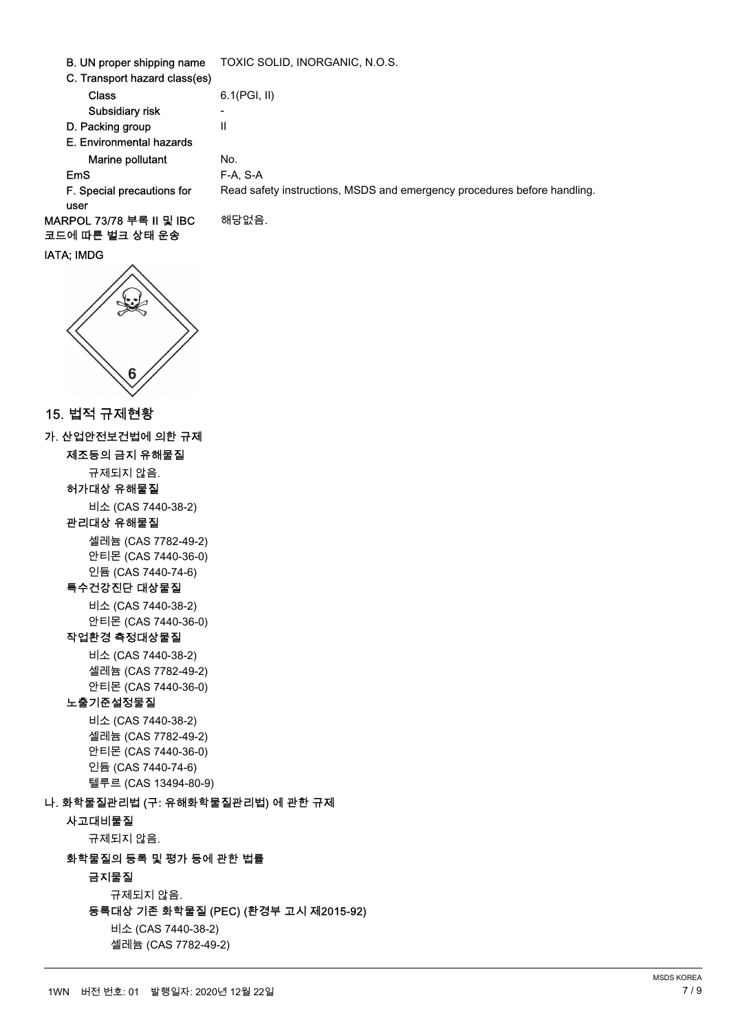| B. UN proper shipping name    | TOXIC SOLID, INORGANIC, N.O.S.                                           |
|-------------------------------|--------------------------------------------------------------------------|
| C. Transport hazard class(es) |                                                                          |
| <b>Class</b>                  | $6.1$ (PGI, II)                                                          |
| Subsidiary risk               |                                                                          |
| D. Packing group              | Ш                                                                        |
| E. Environmental hazards      |                                                                          |
| Marine pollutant              | No.                                                                      |
| <b>EmS</b>                    | F-A. S-A                                                                 |
| F. Special precautions for    | Read safety instructions, MSDS and emergency procedures before handling. |
| user                          |                                                                          |
| MARPOL 73/78 부록 II 및 IBC      | 해당없음.                                                                    |
| 코드에 따른 벌크 상태 운송               |                                                                          |

# IATA; IMDG



## 15. 법적 규제현황

가. 산업안전보건법에 의한 규제

제조등의 금지 유해물질

규제되지 않음.

허가대상 유해물질 ꟹꭁ (CAS 7440-38-2)

#### 관리대상 유해물질

ꫵꆽ鰹 (CAS 7782-49-2) 안티몬 (CAS 7440-36-0) 넭麅 (CAS 7440-74-6)

## 특수건강진단 대상물질

ꟹꭁ (CAS 7440-38-2) 안티몬 (CAS 7440-36-0)

# 작업환경 측정대상물질

ꟹꭁ (CAS 7440-38-2) ꫵꆽ鰹 (CAS 7782-49-2) 안티몬 (CAS 7440-36-0)

#### 노출기준설정물질

ꟹꭁ (CAS 7440-38-2) ꫵꆽ鰹 (CAS 7782-49-2) 안티몬 (CAS 7440-36-0) 넭麅 (CAS 7440-74-6) 텔루르 (CAS 13494-80-9)

#### 나. 화학물질관리법 (구: 유해화학물질관리법) 에 관한 규제

사고대비물질

규제되지 않음.

### 화학물질의 등록 및 평가 등에 관한 법률

#### 금지물질

규제되지 않음.

#### 등록대상 기존 화학물질 (PEC) (환경부 고시 제2015-92)

ꟹꭁ (CAS 7440-38-2) ꫵꆽ鰹 (CAS 7782-49-2)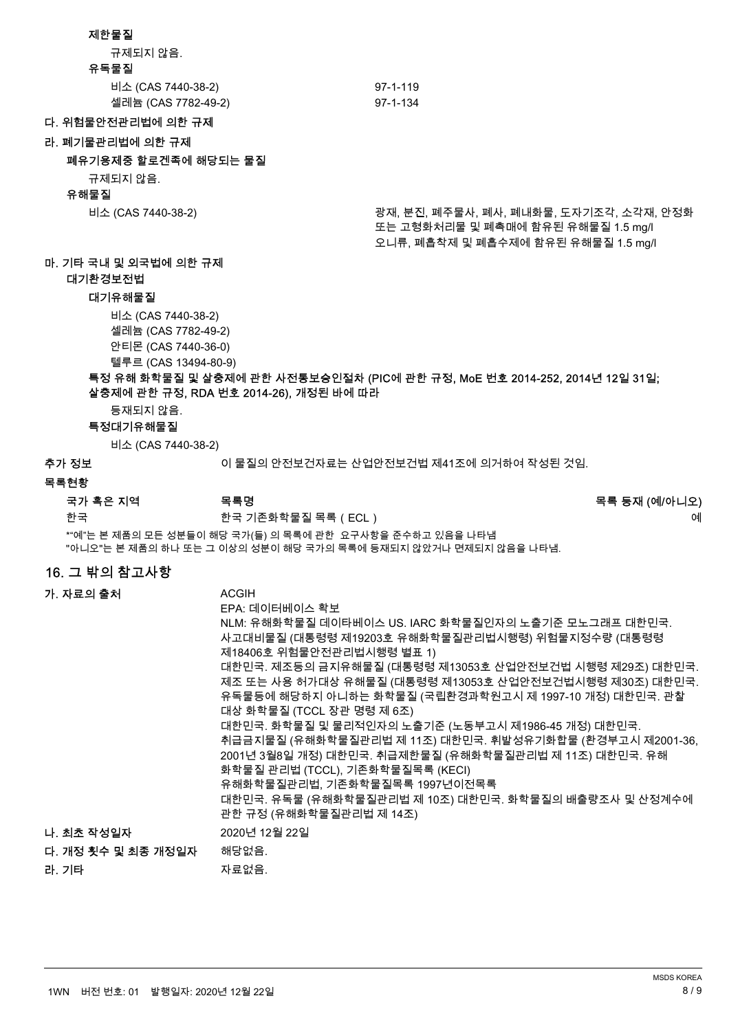#### 제한물질

규제되지 않음.

#### 유독물질

| 비소 (CAS 7440-38-2)  | 97-1-119 |
|---------------------|----------|
| 셀레늄 (CAS 7782-49-2) | 97-1-134 |

#### 다. 위험물안전관리법에 의한 규제

라. 폐기물관리법에 의한 규제

#### 폐유기용제중 할로겐족에 해당되는 물질

규제되지 않음.

#### 유해물질

비소 (CAS 7440-38-2) また 중 정저, 분진, 폐주물사, 폐사, 폐내화물, 도자기조각, 소각재, 안정화 뚜는 고형화처리물 및 폐촉매에 함유된 유해물질 1.5 mg/l 오니류, 폐흡착제 및 폐흡수제에 함유된 유해물질 1.5 mg/l

# 마. 기타 국내 및 외국법에 의한 규제

대기환경보저법

#### 대기유해물질

ꟹꭁ (CAS 7440-38-2) 셀레늄 (CAS 7782-49-2) 안티몬 (CAS 7440-36-0)

텔루르 (CAS 13494-80-9)

#### 특정 유해 화학물질 및 살충제에 관한 사전통보승인절차 (PIC에 관한 규정, MoE 번호 2014-252, 2014년 12일 31일; 살충제에 관한 규정, RDA 번호 2014-26), 개정된 바에 따라

등재되지 않음.

### 특정대기유해물질

ꟹꭁ (CAS 7440-38-2)

추가 정보 접근 아침 그 시 물질의 안전보건자료는 산업안전보건법 제41조에 의거하여 작성된 것임.

#### 목록현황

|  |  |  | 국가 혹은 지역 |  |  |
|--|--|--|----------|--|--|
|--|--|--|----------|--|--|

뼑霢 뼑霢 韥눩쀉뼎ꓱ덽 ꑞꈒ(ECL) 꾽

\*"예"는 본 제품의 모든 성분들이 해당 국가(들) 의 목록에 관한 요구사항을 준수하고 있음을 나타냄 "아니오"는 본 제품의 하나 또는 그 이상의 성분이 해당 국가의 목록에 등재되지 않았거나 면제되지 않음을 나타냄.

### 16. 그 밖의 참고사항

| 가. 자료의 출처          | <b>ACGIH</b>                                                                                                                                                                                                                                                                                                                                                                                                                                                                                                                                                                                                          |
|--------------------|-----------------------------------------------------------------------------------------------------------------------------------------------------------------------------------------------------------------------------------------------------------------------------------------------------------------------------------------------------------------------------------------------------------------------------------------------------------------------------------------------------------------------------------------------------------------------------------------------------------------------|
|                    | EPA: 데이터베이스 확보<br>NLM: 유해화학물질 데이타베이스 US. IARC 화학물질인자의 노출기준 모노그래프 대한민국.<br>사고대비물질 (대통령령 제19203호 유해화학물질관리법시행령) 위험물지정수량 (대통령령<br>제18406호 위험물안전관리법시행령 별표 1)<br>대한민국. 제조등의 금지유해물질 (대통령령 제13053호 산업안전보건법 시행령 제29조) 대한민국.<br>제조 또는 사용 허가대상 유해물질 (대통령령 제13053호 산업안전보건법시행령 제30조) 대한민국.<br>유독물등에 해당하지 아니하는 화학물질 (국립환경과학원고시 제 1997-10 개정) 대한민국. 관찰<br>대상 화학물질 (TCCL 장관 명령 제 6조)<br>대한민국. 화학물질 및 물리적인자의 노출기준 (노동부고시 제1986-45 개정) 대한민국.<br>취급금지물질 (유해화학물질관리법 제 11조) 대한민국. 휘발성유기화합물 (환경부고시 제2001-36,<br>2001년 3월8일 개정) 대한민국. 취급제한물질 (유해화학물질관리법 제 11조) 대한민국. 유해<br>화학물질 관리법 (TCCL), 기존화학물질목록 (KECI)<br>유해화학물질관리법, 기존화학물질목록 1997년이전목록 |
|                    | 대한민국. 유독물 (유해화학물질관리법 제 10조) 대한민국. 화학물질의 배출량조사 및 산정계수에<br>관한 규정 (유해화학물질관리법 제 14조)                                                                                                                                                                                                                                                                                                                                                                                                                                                                                                                                      |
| 나. 최초 작성일자         | 2020년 12월 22일                                                                                                                                                                                                                                                                                                                                                                                                                                                                                                                                                                                                         |
| 다. 개정 횟수 및 최종 개정일자 | 해당없음.                                                                                                                                                                                                                                                                                                                                                                                                                                                                                                                                                                                                                 |
| 라. 기타              | 자료없음.                                                                                                                                                                                                                                                                                                                                                                                                                                                                                                                                                                                                                 |

목록명 목록 등재 (예/아니오)